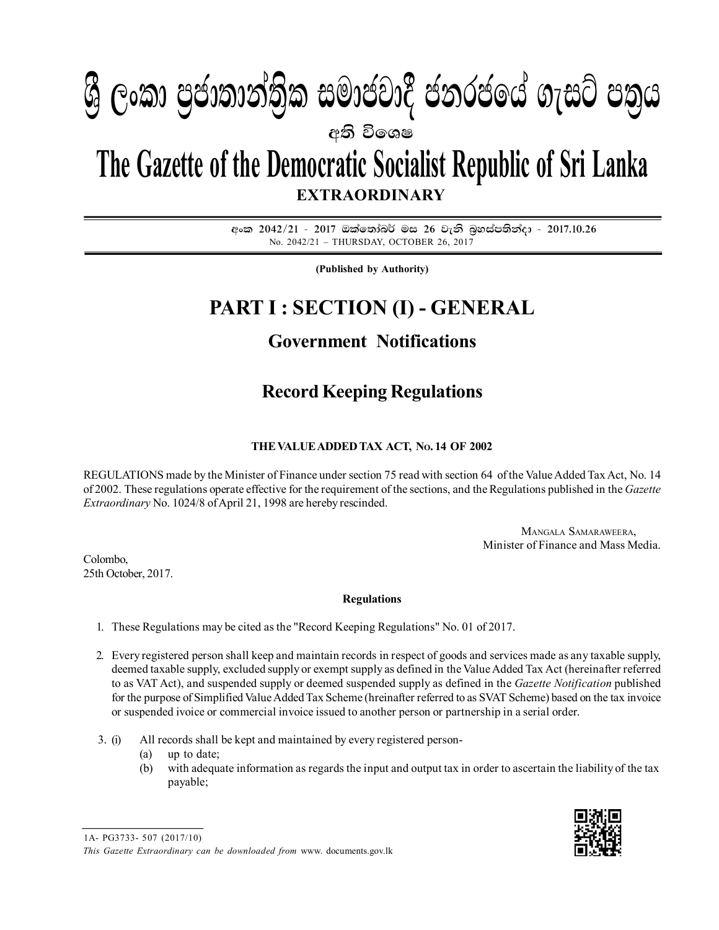# **The Gazette of the Democratic Socialist Republic of Sri Lanka ශී ලංකා පුජාතාන්තික සමාජවාදී ජනරජයේ ගැසට් පතුය EXTRAORDINARY අති විශෙෂ**

<u> අංක 2042/21 - 2017 ඔක්තෝබර් මස 26 වැනි බහස්පතින්දා - 2017.10.26</u> No. 2042/21 – THURSDAY, OCTOBER 26, 2017

**(Published by Authority)**

# **PART I : SECTION (I) - GENERAL**

### **Government Notifications**

## **Record Keeping Regulations**

#### THE VALUE ADDED TAX ACT, No. 14 OF 2002

REGULATIONS made by the Minister of Finance under section 75 read with section 64 of the Value Added Tax Act, No. 14 of 2002. These regulations operate effective for the requirement of the sections, and the Regulations published in the *Gazette Extraordinary* No. 1024/8 of April 21, 1998 are hereby rescinded.

> MANGALA SAMARAWEERA, Minister of Finance and Mass Media.

Colombo, 25th October, 2017.

#### **Regulations**

- 1. These Regulations may be cited as the "Record Keeping Regulations" No. 01 of 2017.
- 2. Every registered person shall keep and maintain records in respect of goods and services made as any taxable supply, deemed taxable supply, excluded supply or exempt supply as defined in the Value Added Tax Act (hereinafter referred to as VAT Act), and suspended supply or deemed suspended supply as defined in the *Gazette Notification* published for the purpose of Simplified Value Added Tax Scheme (hreinafter referred to as SVAT Scheme) based on the tax invoice or suspended ivoice or commercial invoice issued to another person or partnership in a serial order.
- 3. (i) All records shall be kept and maintained by every registered person-
	- (a) up to date;
	- (b) with adequate information as regards the input and output tax in order to ascertain the liability of the tax payable;



<sup>1</sup>A- PG3733- 507 (2017/10)

*This Gazette Extraordinary can be downloaded from* www. documents.gov.lk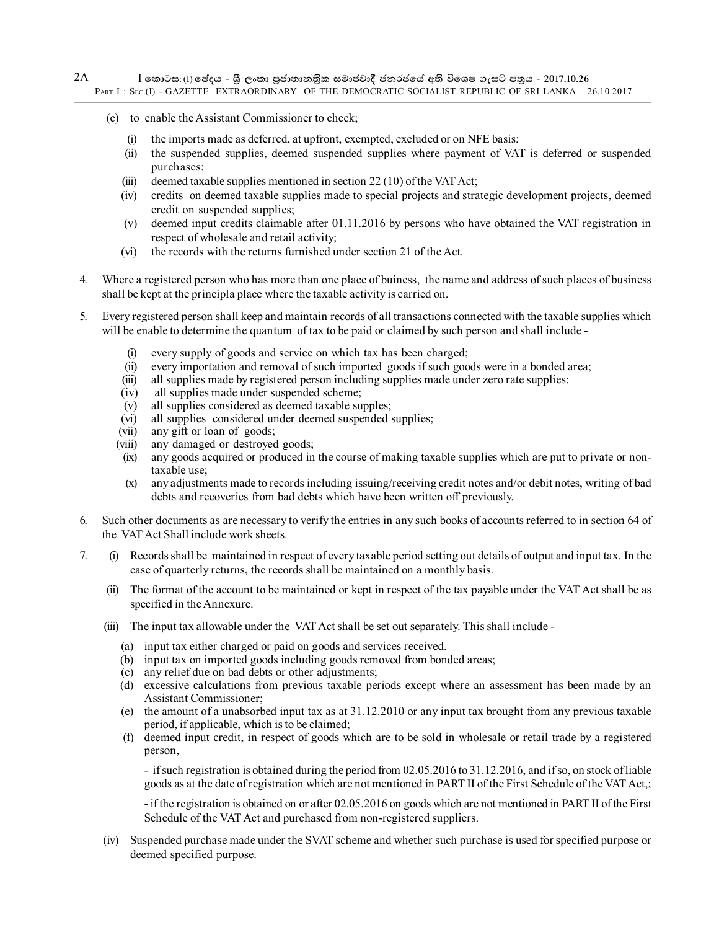- (c) to enable the Assistant Commissioner to check;
	- (i) the imports made as deferred, at upfront, exempted, excluded or on NFE basis;
	- (ii) the suspended supplies, deemed suspended supplies where payment of VAT is deferred or suspended purchases;
	- (iii) deemed taxable supplies mentioned in section  $22(10)$  of the VAT Act;
	- (iv) credits on deemed taxable supplies made to special projects and strategic development projects, deemed credit on suspended supplies;
	- (v) deemed input credits claimable after 01.11.2016 by persons who have obtained the VAT registration in respect of wholesale and retail activity;
	- (vi) the records with the returns furnished under section 21 of the Act.
- 4. Where a registered person who has more than one place of buiness, the name and address of such places of business shall be kept at the principla place where the taxable activity is carried on.
- 5. Every registered person shall keep and maintain records of all transactions connected with the taxable supplies which will be enable to determine the quantum of tax to be paid or claimed by such person and shall include -
	- (i) every supply of goods and service on which tax has been charged;
	- (ii) every importation and removal of such imported goods if such goods were in a bonded area;
	- (iii) all supplies made by registered person including supplies made under zero rate supplies:
	- (iv) all supplies made under suspended scheme;
	- (v) all supplies considered as deemed taxable supples;
	- (vi) all supplies considered under deemed suspended supplies;
	- (vii) any gift or loan of goods;
	- (viii) any damaged or destroyed goods;
	- (ix) any goods acquired or produced in the course of making taxable supplies which are put to private or nontaxable use;
	- (x) any adjustments made to records including issuing/receiving credit notes and/or debit notes, writing of bad debts and recoveries from bad debts which have been written off previously.
- 6. Such other documents as are necessary to verify the entries in any such books of accounts referred to in section 64 of the VAT Act Shall include work sheets.
- 7. (i) Records shall be maintained in respect of every taxable period setting out details of output and input tax. In the case of quarterly returns, the records shall be maintained on a monthly basis.
	- (ii) The format of the account to be maintained or kept in respect of the tax payable under the VAT Act shall be as specified in the Annexure.
	- (iii) The input tax allowable under the VAT Act shall be set out separately. This shall include
		- (a) input tax either charged or paid on goods and services received.
		- (b) input tax on imported goods including goods removed from bonded areas;
		- (c) any relief due on bad debts or other adjustments;
		- (d) excessive calculations from previous taxable periods except where an assessment has been made by an Assistant Commissioner;
		- (e) the amount of a unabsorbed input tax as at 31.12.2010 or any input tax brought from any previous taxable period, if applicable, which is to be claimed;
		- (f) deemed input credit, in respect of goods which are to be sold in wholesale or retail trade by a registered person,

- if such registration is obtained during the period from 02.05.2016 to 31.12.2016, and if so, on stock of liable goods as at the date of registration which are not mentioned in PART II of the First Schedule of the VAT Act,;

- if the registration is obtained on or after 02.05.2016 on goods which are not mentioned in PART II of the First Schedule of the VAT Act and purchased from non-registered suppliers.

(iv) Suspended purchase made under the SVAT scheme and whether such purchase is used for specified purpose or deemed specified purpose.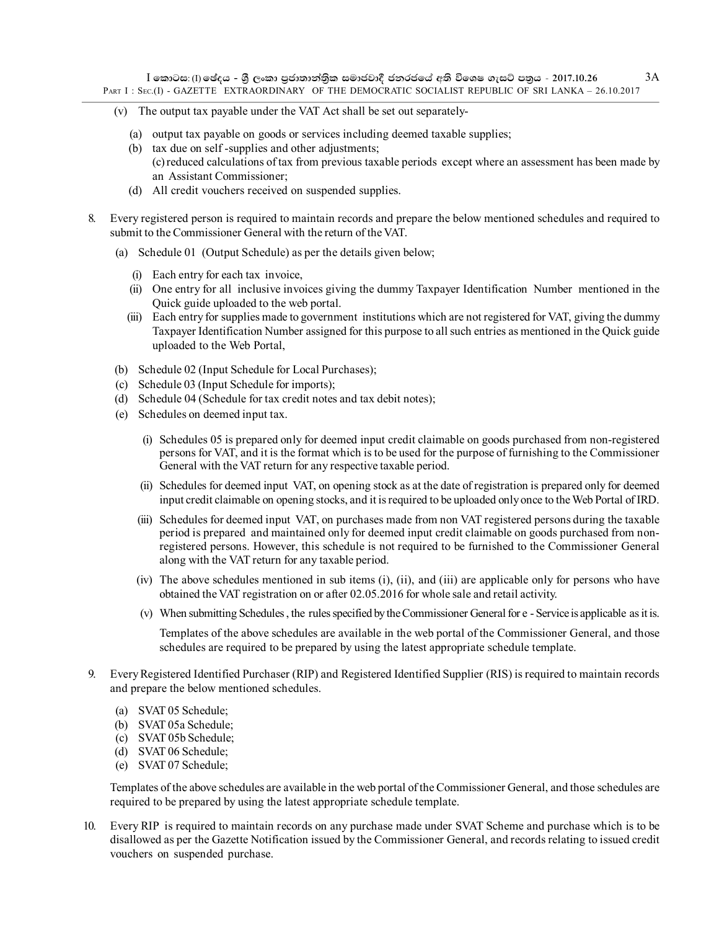- (v) The output tax payable under the VAT Act shall be set out separately-
	- (a) output tax payable on goods or services including deemed taxable supplies;
	- (b) tax due on self -supplies and other adjustments; (c)reduced calculations of tax from previous taxable periods except where an assessment has been made by an Assistant Commissioner;
	- (d) All credit vouchers received on suspended supplies.
- 8. Every registered person is required to maintain records and prepare the below mentioned schedules and required to submit to the Commissioner General with the return of the VAT.
	- (a) Schedule 01 (Output Schedule) as per the details given below;
		- (i) Each entry for each tax invoice,
		- (ii) One entry for all inclusive invoices giving the dummy Taxpayer Identification Number mentioned in the Quick guide uploaded to the web portal.
		- (iii) Each entry for supplies made to government institutions which are not registered for VAT, giving the dummy Taxpayer Identification Number assigned for this purpose to all such entries as mentioned in the Quick guide uploaded to the Web Portal,
	- (b) Schedule 02 (Input Schedule for Local Purchases);
	- (c) Schedule 03 (Input Schedule for imports);
	- (d) Schedule 04 (Schedule for tax credit notes and tax debit notes);
	- (e) Schedules on deemed input tax.
		- (i) Schedules 05 is prepared only for deemed input credit claimable on goods purchased from non-registered persons for VAT, and it is the format which is to be used for the purpose of furnishing to the Commissioner General with the VAT return for any respective taxable period.
		- (ii) Schedules for deemed input VAT, on opening stock as at the date of registration is prepared only for deemed input credit claimable on opening stocks, and it is required to be uploaded only once to the Web Portal of IRD.
		- (iii) Schedules for deemed input VAT, on purchases made from non VAT registered persons during the taxable period is prepared and maintained only for deemed input credit claimable on goods purchased from nonregistered persons. However, this schedule is not required to be furnished to the Commissioner General along with the VAT return for any taxable period.
		- (iv) The above schedules mentioned in sub items (i), (ii), and (iii) are applicable only for persons who have obtained the VAT registration on or after 02.05.2016 for whole sale and retail activity.
		- (v) When submitting Schedules , the rules specified by the Commissioner General for e Service is applicable as it is.

Templates of the above schedules are available in the web portal of the Commissioner General, and those schedules are required to be prepared by using the latest appropriate schedule template.

- 9. Every Registered Identified Purchaser (RIP) and Registered Identified Supplier (RIS) is required to maintain records and prepare the below mentioned schedules.
	- (a) SVAT 05 Schedule;
	- (b) SVAT 05a Schedule;
	- (c) SVAT 05b Schedule;
	- (d) SVAT 06 Schedule;
	- (e) SVAT 07 Schedule;

Templates of the above schedules are available in the web portal of the Commissioner General, and those schedules are required to be prepared by using the latest appropriate schedule template.

10. Every RIP is required to maintain records on any purchase made under SVAT Scheme and purchase which is to be disallowed as per the Gazette Notification issued by the Commissioner General, and records relating to issued credit vouchers on suspended purchase.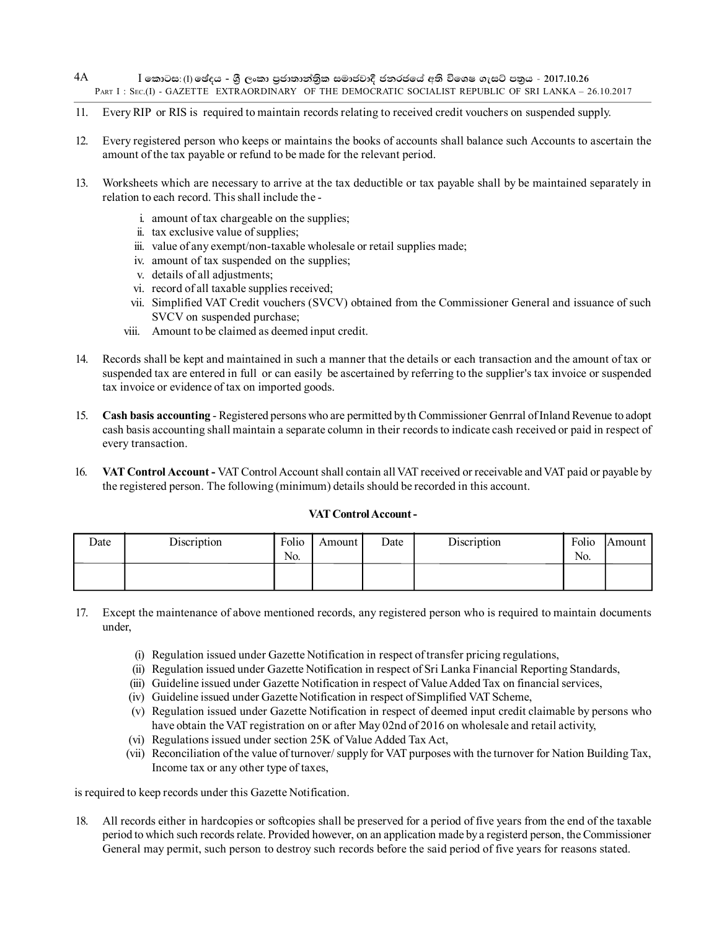- $I$  කොටස: (I) ඡේදය ශීූ ලංකා පුජාතාන්තික සමාජවාදී ජනරජයේ අති විශෙෂ ගැසට් පතුය 2017.10.26 PART I : SEC.(I) - GAZETTE EXTRAORDINARY OF THE DEMOCRATIC SOCIALIST REPUBLIC OF SRI LANKA – 26.10.2017
- 11. Every RIP or RIS is required to maintain records relating to received credit vouchers on suspended supply.
- 12. Every registered person who keeps or maintains the books of accounts shall balance such Accounts to ascertain the amount of the tax payable or refund to be made for the relevant period.
- 13. Worksheets which are necessary to arrive at the tax deductible or tax payable shall by be maintained separately in relation to each record. This shall include the
	- i. amount of tax chargeable on the supplies;
	- ii. tax exclusive value of supplies;
	- iii. value of any exempt/non-taxable wholesale or retail supplies made;
	- iv. amount of tax suspended on the supplies;
	- v. details of all adjustments;
	- vi. record of all taxable supplies received;
	- vii. Simplified VAT Credit vouchers (SVCV) obtained from the Commissioner General and issuance of such SVCV on suspended purchase;
	- viii. Amount to be claimed as deemed input credit.
- 14. Records shall be kept and maintained in such a manner that the details or each transaction and the amount of tax or suspended tax are entered in full or can easily be ascertained by referring to the supplier's tax invoice or suspended tax invoice or evidence of tax on imported goods.
- 15. **Cash basis accounting** Registered persons who are permitted by th Commissioner Genrral of Inland Revenue to adopt cash basis accounting shall maintain a separate column in their records to indicate cash received or paid in respect of every transaction.
- 16. **VAT Control Account** VAT Control Account shall contain all VAT received or receivable and VAT paid or payable by the registered person. The following (minimum) details should be recorded in this account.

#### **VAT Control Account -**

| Date | Discription | Folio<br>No. | Amount | Date | Discription | Folio<br>No. | Amount |
|------|-------------|--------------|--------|------|-------------|--------------|--------|
|      |             |              |        |      |             |              |        |

- 17. Except the maintenance of above mentioned records, any registered person who is required to maintain documents under,
	- (i) Regulation issued under Gazette Notification in respect of transfer pricing regulations,
	- (ii) Regulation issued under Gazette Notification in respect of Sri Lanka Financial Reporting Standards,
	- (iii) Guideline issued under Gazette Notification in respect of Value Added Tax on financial services,
	- (iv) Guideline issued under Gazette Notification in respect of Simplified VAT Scheme,
	- (v) Regulation issued under Gazette Notification in respect of deemed input credit claimable by persons who have obtain the VAT registration on or after May 02nd of 2016 on wholesale and retail activity,
	- (vi) Regulations issued under section 25K of Value Added Tax Act,
	- (vii) Reconciliation of the value of turnover/ supply for VAT purposes with the turnover for Nation Building Tax, Income tax or any other type of taxes,

is required to keep records under this Gazette Notification.

18. All records either in hardcopies or softcopies shall be preserved for a period of five years from the end of the taxable period to which such records relate. Provided however, on an application made by a registerd person, the Commissioner General may permit, such person to destroy such records before the said period of five years for reasons stated.

4A